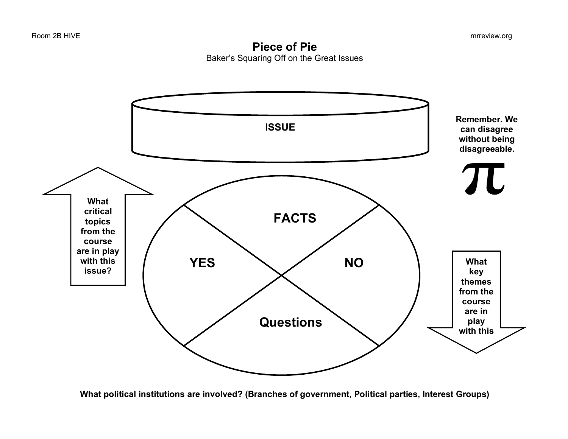**Piece of Pie** Baker's Squaring Off on the Great Issues



**What political institutions are involved? (Branches of government, Political parties, Interest Groups)**